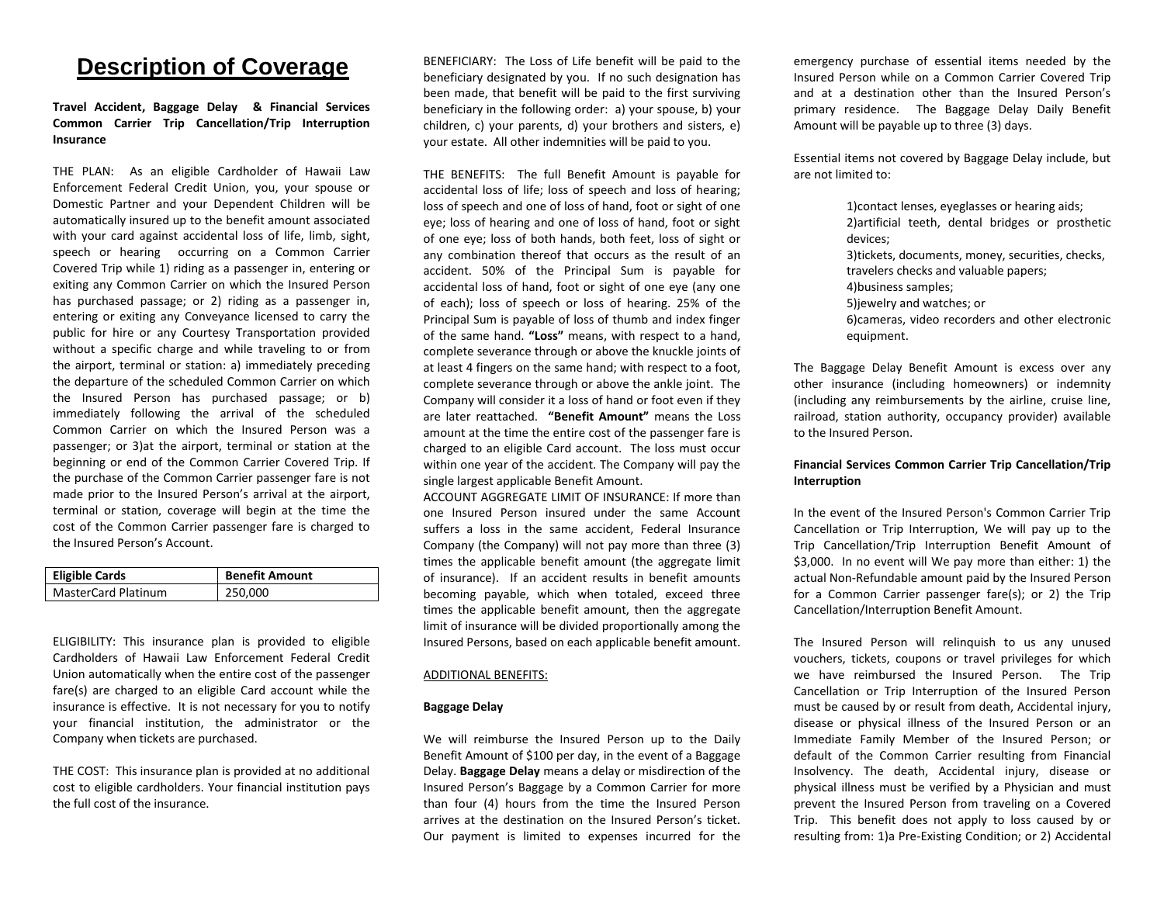# **Description of Coverage**

## **Travel Accident, Baggage Delay & Financial Services Common Carrier Trip Cancellation/Trip Interruption Insurance**

THE PLAN: As an eligible Cardholder of Hawaii Law Enforcement Federal Credit Union, you, your spouse or Domestic Partner and your Dependent Children will be automatically insured up to the benefit amount associated with your card against accidental loss of life, limb, sight, speech or hearing occurring on a Common Carrier Covered Trip while 1) riding as a passenger in, entering or exiting any Common Carrier on which the Insured Person has purchased passage; or 2) riding as a passenger in, entering or exiting any Conveyance licensed to carry the public for hire or any Courtesy Transportation provided without a specific charge and while traveling to or from the airport, terminal or station: a) immediately preceding the departure of the scheduled Common Carrier on which the Insured Person has purchased passage; or b) immediately following the arrival of the scheduled Common Carrier on which the Insured Person was a passenger; or 3)at the airport, terminal or station at the beginning or end of the Common Carrier Covered Trip. If the purchase of the Common Carrier passenger fare is not made prior to the Insured Person's arrival at the airport, terminal or station, coverage will begin at the time the cost of the Common Carrier passenger fare is charged to the Insured Person's Account.

| <b>Eligible Cards</b>      | <b>Benefit Amount</b> |
|----------------------------|-----------------------|
| <b>MasterCard Platinum</b> | 250,000               |

ELIGIBILITY: This insurance plan is provided to eligible Cardholders of Hawaii Law Enforcement Federal Credit Union automatically when the entire cost of the passenger fare(s) are charged to an eligible Card account while the insurance is effective. It is not necessary for you to notify your financial institution, the administrator or the Company when tickets are purchased.

THE COST: This insurance plan is provided at no additional cost to eligible cardholders. Your financial institution pays the full cost of the insurance.

BENEFICIARY: The Loss of Life benefit will be paid to the beneficiary designated by you. If no such designation has been made, that benefit will be paid to the first surviving beneficiary in the following order: a) your spouse, b) your children, c) your parents, d) your brothers and sisters, e) your estate. All other indemnities will be paid to you.

THE BENEFITS: The full Benefit Amount is payable for accidental loss of life; loss of speech and loss of hearing; loss of speech and one of loss of hand, foot or sight of one eye; loss of hearing and one of loss of hand, foot or sight of one eye; loss of both hands, both feet, loss of sight or any combination thereof that occurs as the result of an accident. 50% of the Principal Sum is payable for accidental loss of hand, foot or sight of one eye (any one of each); loss of speech or loss of hearing. 25% of the Principal Sum is payable of loss of thumb and index finger of the same hand. **"Loss"** means, with respect to a hand, complete severance through or above the knuckle joints of at least 4 fingers on the same hand; with respect to a foot, complete severance through or above the ankle joint. The Company will consider it a loss of hand or foot even if they are later reattached. **"Benefit Amount"** means the Loss amount at the time the entire cost of the passenger fare is charged to an eligible Card account. The loss must occur within one year of the accident. The Company will pay the single largest applicable Benefit Amount.

ACCOUNT AGGREGATE LIMIT OF INSURANCE: If more than one Insured Person insured under the same Account suffers a loss in the same accident, Federal Insurance Company (the Company) will not pay more than three (3) times the applicable benefit amount (the aggregate limit of insurance). If an accident results in benefit amounts becoming payable, which when totaled, exceed three times the applicable benefit amount, then the aggregate limit of insurance will be divided proportionally among the Insured Persons, based on each applicable benefit amount.

#### ADDITIONAL BENEFITS:

#### **Baggage Delay**

We will reimburse the Insured Person up to the Daily Benefit Amount of \$100 per day, in the event of a Baggage Delay. **Baggage Delay** means a delay or misdirection of the Insured Person's Baggage by a Common Carrier for more than four (4) hours from the time the Insured Person arrives at the destination on the Insured Person's ticket. Our payment is limited to expenses incurred for the

emergency purchase of essential items needed by the Insured Person while on a Common Carrier Covered Trip and at a destination other than the Insured Person's primary residence. The Baggage Delay Daily Benefit Amount will be payable up to three (3) days.

Essential items not covered by Baggage Delay include, but are not limited to:

> 1)contact lenses, eyeglasses or hearing aids; 2)artificial teeth, dental bridges or prosthetic devices; 3)tickets, documents, money, securities, checks, travelers checks and valuable papers; 4)business samples; 5)jewelry and watches; or 6)cameras, video recorders and other electronic equipment.

The Baggage Delay Benefit Amount is excess over any other insurance (including homeowners) or indemnity (including any reimbursements by the airline, cruise line, railroad, station authority, occupancy provider) available to the Insured Person.

### **Financial Services Common Carrier Trip Cancellation/Trip Interruption**

In the event of the Insured Person's Common Carrier Trip Cancellation or Trip Interruption, We will pay up to the Trip Cancellation/Trip Interruption Benefit Amount of \$3,000. In no event will We pay more than either: 1) the actual Non-Refundable amount paid by the Insured Person for a Common Carrier passenger fare(s); or 2) the Trip Cancellation/Interruption Benefit Amount.

The Insured Person will relinquish to us any unused vouchers, tickets, coupons or travel privileges for which we have reimbursed the Insured Person. The Trip Cancellation or Trip Interruption of the Insured Person must be caused by or result from death, Accidental injury, disease or physical illness of the Insured Person or an Immediate Family Member of the Insured Person; or default of the Common Carrier resulting from Financial Insolvency. The death, Accidental injury, disease or physical illness must be verified by a Physician and must prevent the Insured Person from traveling on a Covered Trip. This benefit does not apply to loss caused by or resulting from: 1)a Pre-Existing Condition; or 2) Accidental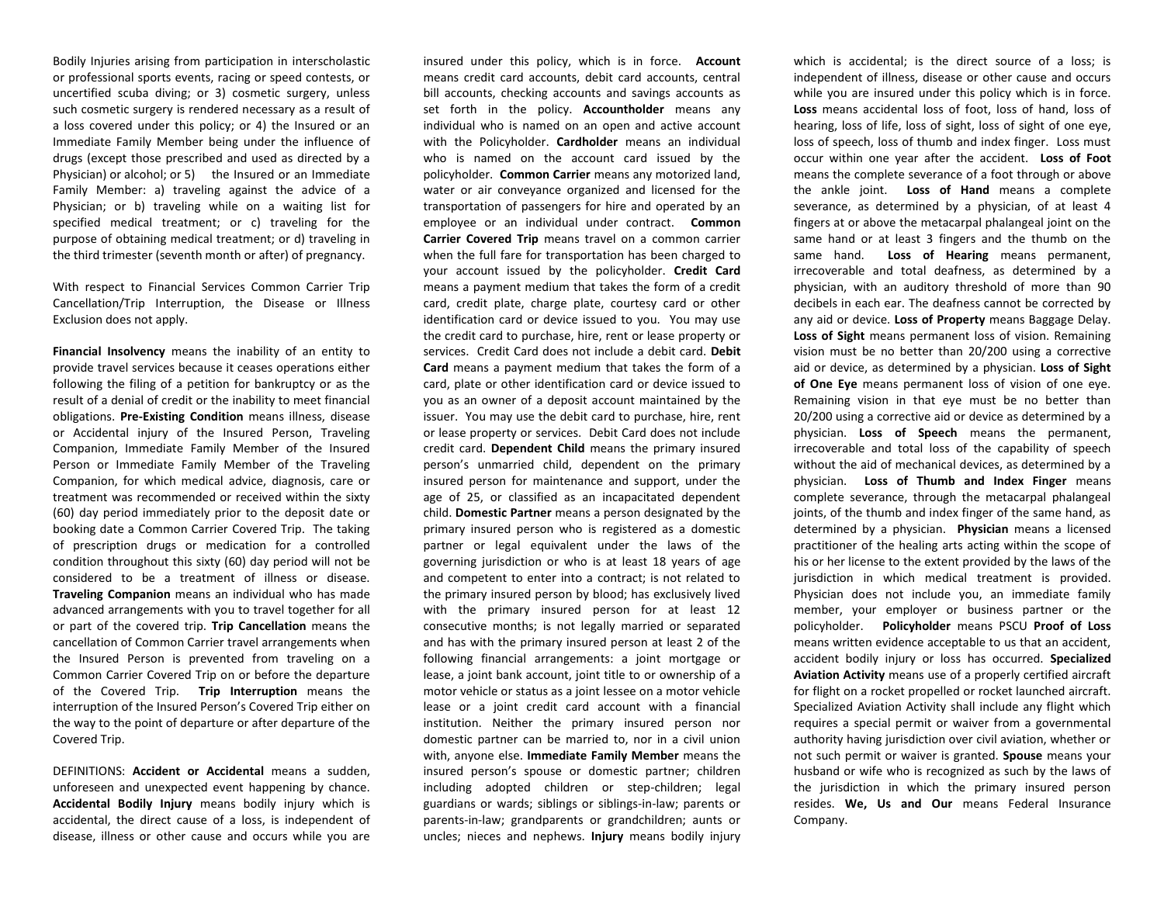Bodily Injuries arising from participation in interscholastic or professional sports events, racing or speed contests, or uncertified scuba diving; or 3) cosmetic surgery, unless such cosmetic surgery is rendered necessary as a result of a loss covered under this policy; or 4) the Insured or an Immediate Family Member being under the influence of drugs (except those prescribed and used as directed by a Physician) or alcohol; or 5) the Insured or an Immediate Family Member: a) traveling against the advice of a Physician; or b) traveling while on a waiting list for specified medical treatment; or c) traveling for the purpose of obtaining medical treatment; or d) traveling in the third trimester (seventh month or after) of pregnancy.

With respect to Financial Services Common Carrier Trip Cancellation/Trip Interruption, the Disease or Illness Exclusion does not apply.

**Financial Insolvency** means the inability of an entity to provide travel services because it ceases operations either following the filing of a petition for bankruptcy or as the result of a denial of credit or the inability to meet financial obligations. **Pre-Existing Condition** means illness, disease or Accidental injury of the Insured Person, Traveling Companion, Immediate Family Member of the Insured Person or Immediate Family Member of the Traveling Companion, for which medical advice, diagnosis, care or treatment was recommended or received within the sixty (60) day period immediately prior to the deposit date or booking date a Common Carrier Covered Trip. The taking of prescription drugs or medication for a controlled condition throughout this sixty (60) day period will not be considered to be a treatment of illness or disease. **Traveling Companion** means an individual who has made advanced arrangements with you to travel together for all or part of the covered trip. **Trip Cancellation** means the cancellation of Common Carrier travel arrangements when the Insured Person is prevented from traveling on a Common Carrier Covered Trip on or before the departure of the Covered Trip. **Trip Interruption** means the interruption of the Insured Person's Covered Trip either on the way to the point of departure or after departure of the Covered Trip.

DEFINITIONS: **Accident or Accidental** means a sudden, unforeseen and unexpected event happening by chance. **Accidental Bodily Injury** means bodily injury which is accidental, the direct cause of a loss, is independent of disease, illness or other cause and occurs while you are insured under this policy, which is in force. **Account**  means credit card accounts, debit card accounts, central bill accounts, checking accounts and savings accounts as set forth in the policy. **Accountholder** means any individual who is named on an open and active account with the Policyholder. **Cardholder** means an individual who is named on the account card issued by the policyholder. **Common Carrier** means any motorized land, water or air conveyance organized and licensed for the transportation of passengers for hire and operated by an employee or an individual under contract. **Common Carrier Covered Trip** means travel on a common carrier when the full fare for transportation has been charged to your account issued by the policyholder. **Credit Card** means a payment medium that takes the form of a credit card, credit plate, charge plate, courtesy card or other identification card or device issued to you. You may use the credit card to purchase, hire, rent or lease property or services. Credit Card does not include a debit card. **Debit Card** means a payment medium that takes the form of a card, plate or other identification card or device issued to you as an owner of a deposit account maintained by the issuer. You may use the debit card to purchase, hire, rent or lease property or services. Debit Card does not include credit card. **Dependent Child** means the primary insured person's unmarried child, dependent on the primary insured person for maintenance and support, under the age of 25, or classified as an incapacitated dependent child. **Domestic Partner** means a person designated by the primary insured person who is registered as a domestic partner or legal equivalent under the laws of the governing jurisdiction or who is at least 18 years of age and competent to enter into a contract; is not related to the primary insured person by blood; has exclusively lived with the primary insured person for at least 12 consecutive months; is not legally married or separated and has with the primary insured person at least 2 of the following financial arrangements: a joint mortgage or lease, a joint bank account, joint title to or ownership of a motor vehicle or status as a joint lessee on a motor vehicle lease or a joint credit card account with a financial institution. Neither the primary insured person nor domestic partner can be married to, nor in a civil union with, anyone else. **Immediate Family Member** means the insured person's spouse or domestic partner; children including adopted children or step-children; legal guardians or wards; siblings or siblings-in-law; parents or parents-in-law; grandparents or grandchildren; aunts or uncles; nieces and nephews. **Injury** means bodily injury

which is accidental; is the direct source of a loss; is independent of illness, disease or other cause and occurs while you are insured under this policy which is in force. **Loss** means accidental loss of foot, loss of hand, loss of hearing, loss of life, loss of sight, loss of sight of one eye, loss of speech, loss of thumb and index finger. Loss must occur within one year after the accident. **Loss of Foot** means the complete severance of a foot through or above the ankle joint. **Loss of Hand** means a complete severance, as determined by a physician, of at least 4 fingers at or above the metacarpal phalangeal joint on the same hand or at least 3 fingers and the thumb on the same hand. **Loss of Hearing** means permanent, irrecoverable and total deafness, as determined by a physician, with an auditory threshold of more than 90 decibels in each ear. The deafness cannot be corrected by any aid or device. **Loss of Property** means Baggage Delay. **Loss of Sight** means permanent loss of vision. Remaining vision must be no better than 20/200 using a corrective aid or device, as determined by a physician. **Loss of Sight of One Eye** means permanent loss of vision of one eye. Remaining vision in that eye must be no better than 20/200 using a corrective aid or device as determined by a physician. **Loss of Speech** means the permanent, irrecoverable and total loss of the capability of speech without the aid of mechanical devices, as determined by a physician. **Loss of Thumb and Index Finger** means complete severance, through the metacarpal phalangeal joints, of the thumb and index finger of the same hand, as determined by a physician. **Physician** means a licensed practitioner of the healing arts acting within the scope of his or her license to the extent provided by the laws of the jurisdiction in which medical treatment is provided. Physician does not include you, an immediate family member, your employer or business partner or the policyholder. **Policyholder** means PSCU **Proof of Loss** means written evidence acceptable to us that an accident, accident bodily injury or loss has occurred. **Specialized Aviation Activity** means use of a properly certified aircraft for flight on a rocket propelled or rocket launched aircraft. Specialized Aviation Activity shall include any flight which requires a special permit or waiver from a governmental authority having jurisdiction over civil aviation, whether or not such permit or waiver is granted. **Spouse** means your husband or wife who is recognized as such by the laws of the jurisdiction in which the primary insured person resides. **We, Us and Our** means Federal Insurance Company.